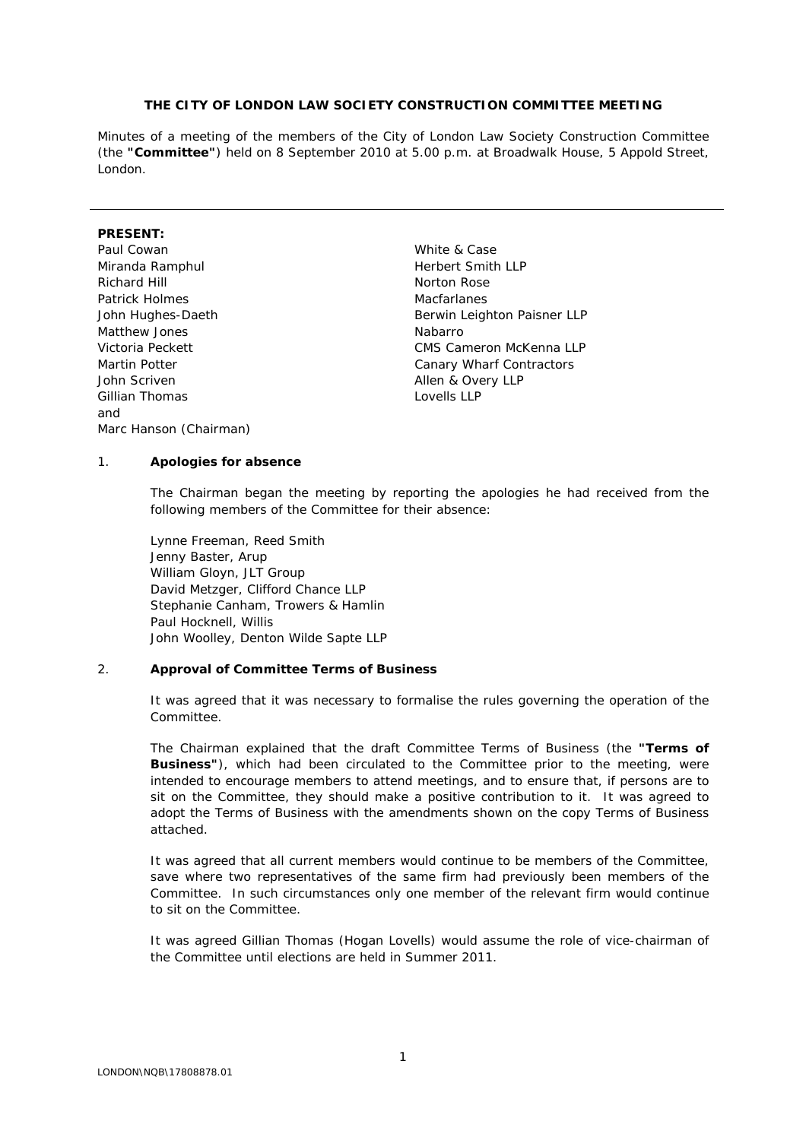### **THE CITY OF LONDON LAW SOCIETY CONSTRUCTION COMMITTEE MEETING**

Minutes of a meeting of the members of the City of London Law Society Construction Committee (the **"Committee"**) held on 8 September 2010 at 5.00 p.m. at Broadwalk House, 5 Appold Street, London.

# **PRESENT:**

- Paul Cowan **Paul Cowan** White & Case Miranda Ramphul **Miranda** Ramphul **Herbert Smith LLP** Richard Hill Norton Rose Patrick Holmes **Macfarlanes** Macfarlanes Matthew Jones **Nabarro** Nabarro John Scriven **Allen & Overy LLP** Gillian Thomas Lovells LLP and Marc Hanson (Chairman)
- John Hughes-Daeth Berwin Leighton Paisner LLP Victoria Peckett CMS Cameron McKenna LLP Martin Potter **Canary Wharf Contractors**

### 1. **Apologies for absence**

The Chairman began the meeting by reporting the apologies he had received from the following members of the Committee for their absence:

Lynne Freeman, Reed Smith Jenny Baster, Arup William Gloyn, JLT Group David Metzger, Clifford Chance LLP Stephanie Canham, Trowers & Hamlin Paul Hocknell, Willis John Woolley, Denton Wilde Sapte LLP

#### 2. **Approval of Committee Terms of Business**

It was agreed that it was necessary to formalise the rules governing the operation of the Committee.

The Chairman explained that the draft Committee Terms of Business (the **"Terms of Business"**), which had been circulated to the Committee prior to the meeting, were intended to encourage members to attend meetings, and to ensure that, if persons are to sit on the Committee, they should make a positive contribution to it. It was agreed to adopt the Terms of Business with the amendments shown on the copy Terms of Business attached.

It was agreed that all current members would continue to be members of the Committee, save where two representatives of the same firm had previously been members of the Committee. In such circumstances only one member of the relevant firm would continue to sit on the Committee.

It was agreed Gillian Thomas (Hogan Lovells) would assume the role of vice-chairman of the Committee until elections are held in Summer 2011.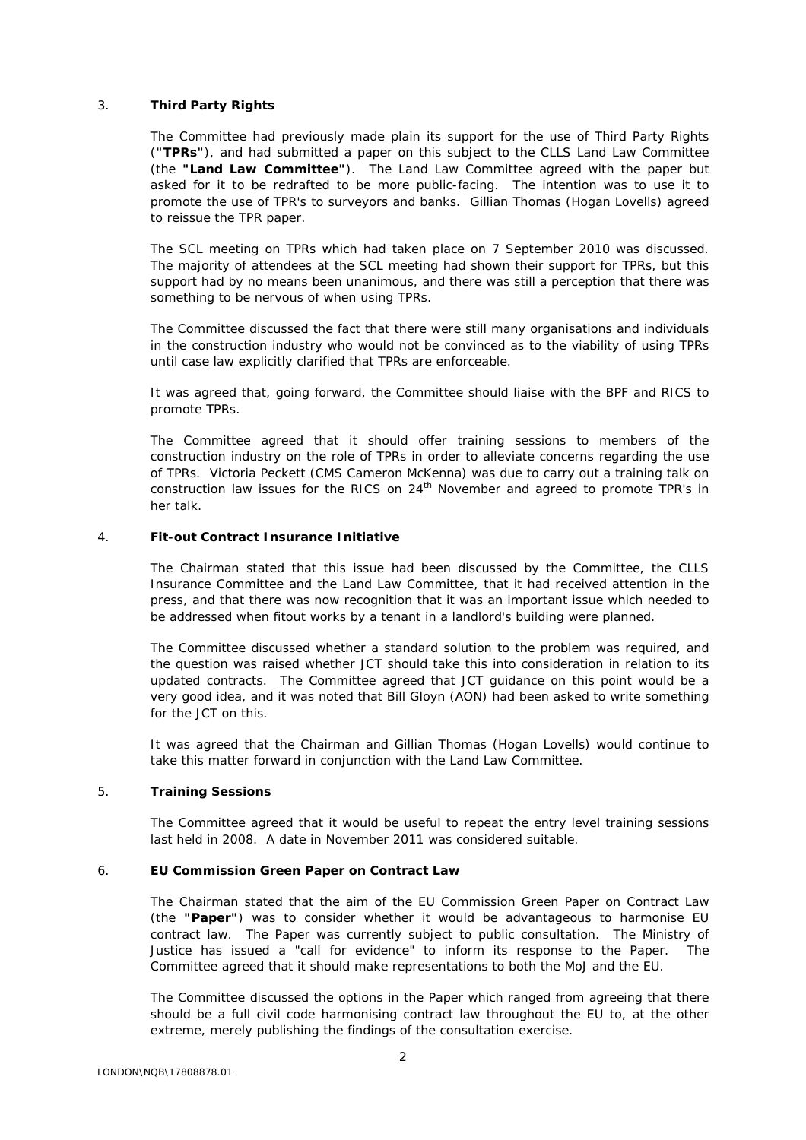## 3. **Third Party Rights**

The Committee had previously made plain its support for the use of Third Party Rights (**"TPRs"**), and had submitted a paper on this subject to the CLLS Land Law Committee (the **"Land Law Committee"**). The Land Law Committee agreed with the paper but asked for it to be redrafted to be more public-facing. The intention was to use it to promote the use of TPR's to surveyors and banks. Gillian Thomas (Hogan Lovells) agreed to reissue the TPR paper.

The SCL meeting on TPRs which had taken place on 7 September 2010 was discussed. The majority of attendees at the SCL meeting had shown their support for TPRs, but this support had by no means been unanimous, and there was still a perception that there was something to be nervous of when using TPRs.

The Committee discussed the fact that there were still many organisations and individuals in the construction industry who would not be convinced as to the viability of using TPRs until case law explicitly clarified that TPRs are enforceable.

It was agreed that, going forward, the Committee should liaise with the BPF and RICS to promote TPRs.

The Committee agreed that it should offer training sessions to members of the construction industry on the role of TPRs in order to alleviate concerns regarding the use of TPRs. Victoria Peckett (CMS Cameron McKenna) was due to carry out a training talk on construction law issues for the RICS on 24<sup>th</sup> November and agreed to promote TPR's in her talk.

#### 4. **Fit-out Contract Insurance Initiative**

The Chairman stated that this issue had been discussed by the Committee, the CLLS Insurance Committee and the Land Law Committee, that it had received attention in the press, and that there was now recognition that it was an important issue which needed to be addressed when fitout works by a tenant in a landlord's building were planned.

The Committee discussed whether a standard solution to the problem was required, and the question was raised whether JCT should take this into consideration in relation to its updated contracts. The Committee agreed that JCT guidance on this point would be a very good idea, and it was noted that Bill Gloyn (AON) had been asked to write something for the JCT on this.

It was agreed that the Chairman and Gillian Thomas (Hogan Lovells) would continue to take this matter forward in conjunction with the Land Law Committee.

### 5. **Training Sessions**

The Committee agreed that it would be useful to repeat the entry level training sessions last held in 2008. A date in November 2011 was considered suitable.

#### 6. **EU Commission Green Paper on Contract Law**

The Chairman stated that the aim of the EU Commission Green Paper on Contract Law (the **"Paper"**) was to consider whether it would be advantageous to harmonise EU contract law. The Paper was currently subject to public consultation. The Ministry of Justice has issued a "call for evidence" to inform its response to the Paper. The Committee agreed that it should make representations to both the MoJ and the EU.

The Committee discussed the options in the Paper which ranged from agreeing that there should be a full civil code harmonising contract law throughout the EU to, at the other extreme, merely publishing the findings of the consultation exercise.